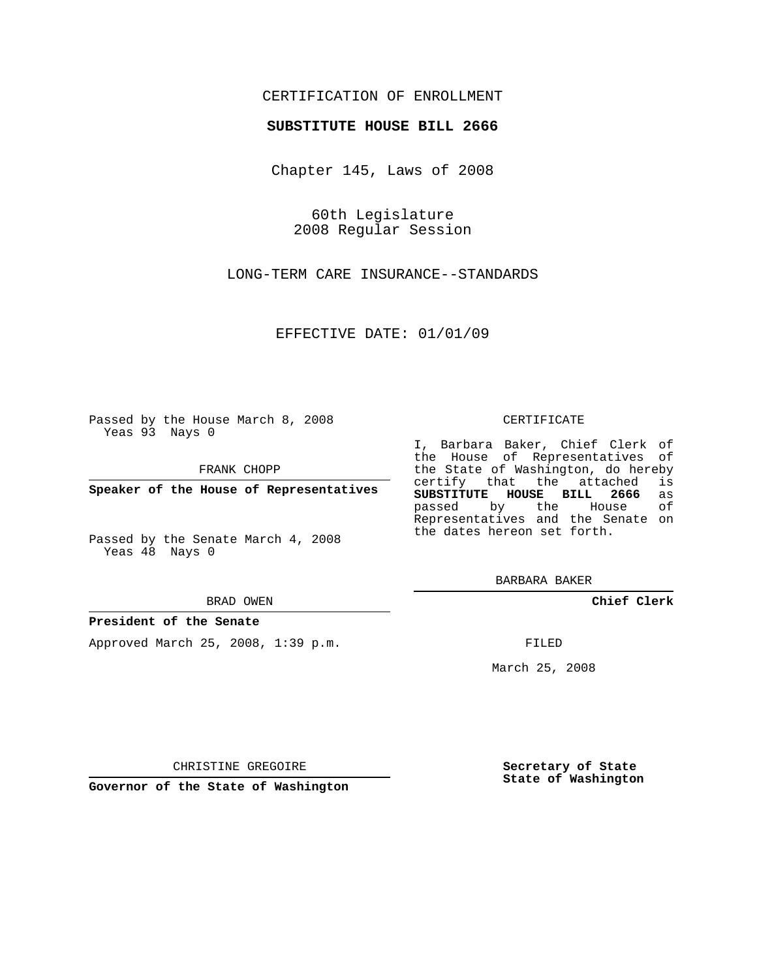# CERTIFICATION OF ENROLLMENT

## **SUBSTITUTE HOUSE BILL 2666**

Chapter 145, Laws of 2008

60th Legislature 2008 Regular Session

LONG-TERM CARE INSURANCE--STANDARDS

EFFECTIVE DATE: 01/01/09

Passed by the House March 8, 2008 Yeas 93 Nays 0

FRANK CHOPP

**Speaker of the House of Representatives**

Passed by the Senate March 4, 2008 Yeas 48 Nays 0

#### BRAD OWEN

### **President of the Senate**

Approved March 25, 2008, 1:39 p.m.

#### CERTIFICATE

I, Barbara Baker, Chief Clerk of the House of Representatives of the State of Washington, do hereby<br>certify that the attached is certify that the attached **SUBSTITUTE HOUSE BILL 2666** as passed by the House Representatives and the Senate on the dates hereon set forth.

BARBARA BAKER

**Chief Clerk**

FILED

March 25, 2008

CHRISTINE GREGOIRE

**Governor of the State of Washington**

**Secretary of State State of Washington**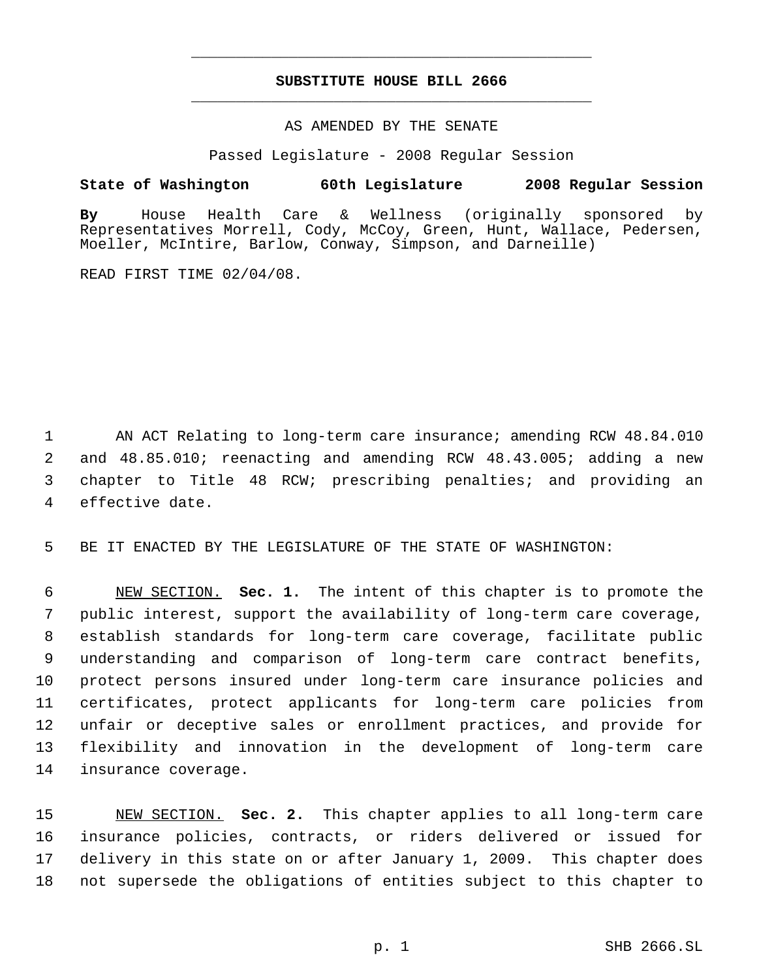# **SUBSTITUTE HOUSE BILL 2666** \_\_\_\_\_\_\_\_\_\_\_\_\_\_\_\_\_\_\_\_\_\_\_\_\_\_\_\_\_\_\_\_\_\_\_\_\_\_\_\_\_\_\_\_\_

\_\_\_\_\_\_\_\_\_\_\_\_\_\_\_\_\_\_\_\_\_\_\_\_\_\_\_\_\_\_\_\_\_\_\_\_\_\_\_\_\_\_\_\_\_

## AS AMENDED BY THE SENATE

Passed Legislature - 2008 Regular Session

## **State of Washington 60th Legislature 2008 Regular Session**

**By** House Health Care & Wellness (originally sponsored by Representatives Morrell, Cody, McCoy, Green, Hunt, Wallace, Pedersen, Moeller, McIntire, Barlow, Conway, Simpson, and Darneille)

READ FIRST TIME 02/04/08.

 AN ACT Relating to long-term care insurance; amending RCW 48.84.010 and 48.85.010; reenacting and amending RCW 48.43.005; adding a new chapter to Title 48 RCW; prescribing penalties; and providing an effective date.

BE IT ENACTED BY THE LEGISLATURE OF THE STATE OF WASHINGTON:

 NEW SECTION. **Sec. 1.** The intent of this chapter is to promote the public interest, support the availability of long-term care coverage, establish standards for long-term care coverage, facilitate public understanding and comparison of long-term care contract benefits, protect persons insured under long-term care insurance policies and certificates, protect applicants for long-term care policies from unfair or deceptive sales or enrollment practices, and provide for flexibility and innovation in the development of long-term care insurance coverage.

 NEW SECTION. **Sec. 2.** This chapter applies to all long-term care insurance policies, contracts, or riders delivered or issued for delivery in this state on or after January 1, 2009. This chapter does not supersede the obligations of entities subject to this chapter to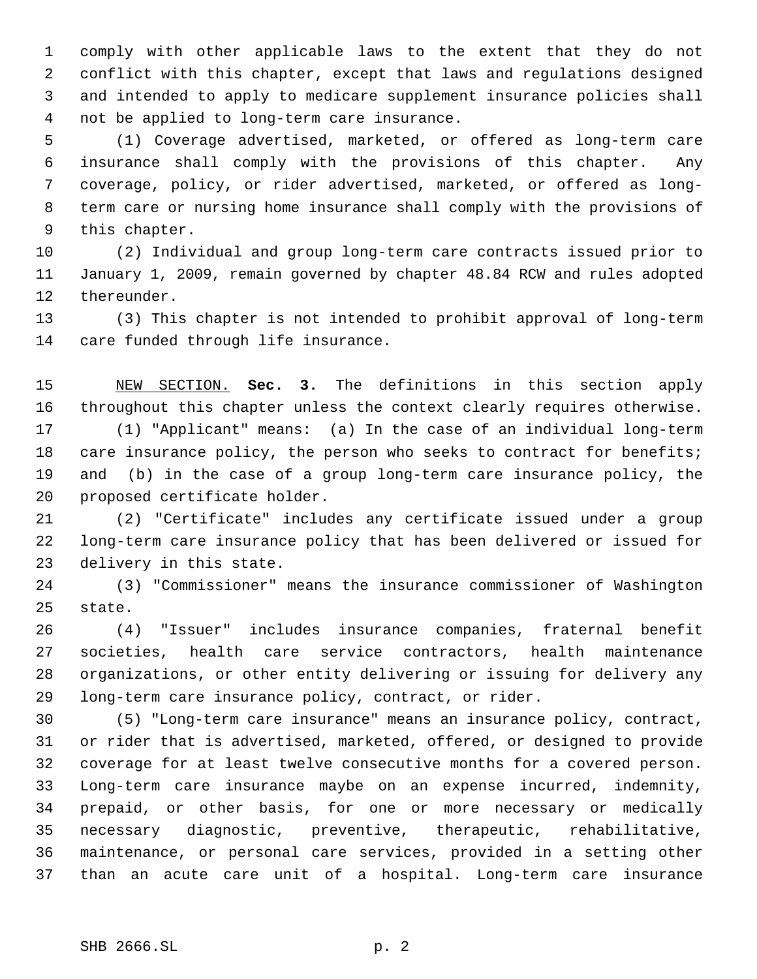comply with other applicable laws to the extent that they do not conflict with this chapter, except that laws and regulations designed and intended to apply to medicare supplement insurance policies shall not be applied to long-term care insurance.

 (1) Coverage advertised, marketed, or offered as long-term care insurance shall comply with the provisions of this chapter. Any coverage, policy, or rider advertised, marketed, or offered as long- term care or nursing home insurance shall comply with the provisions of this chapter.

 (2) Individual and group long-term care contracts issued prior to January 1, 2009, remain governed by chapter 48.84 RCW and rules adopted thereunder.

 (3) This chapter is not intended to prohibit approval of long-term care funded through life insurance.

 NEW SECTION. **Sec. 3.** The definitions in this section apply throughout this chapter unless the context clearly requires otherwise.

 (1) "Applicant" means: (a) In the case of an individual long-term 18 care insurance policy, the person who seeks to contract for benefits; and (b) in the case of a group long-term care insurance policy, the proposed certificate holder.

 (2) "Certificate" includes any certificate issued under a group long-term care insurance policy that has been delivered or issued for delivery in this state.

 (3) "Commissioner" means the insurance commissioner of Washington state.

 (4) "Issuer" includes insurance companies, fraternal benefit societies, health care service contractors, health maintenance organizations, or other entity delivering or issuing for delivery any long-term care insurance policy, contract, or rider.

 (5) "Long-term care insurance" means an insurance policy, contract, or rider that is advertised, marketed, offered, or designed to provide coverage for at least twelve consecutive months for a covered person. Long-term care insurance maybe on an expense incurred, indemnity, prepaid, or other basis, for one or more necessary or medically necessary diagnostic, preventive, therapeutic, rehabilitative, maintenance, or personal care services, provided in a setting other than an acute care unit of a hospital. Long-term care insurance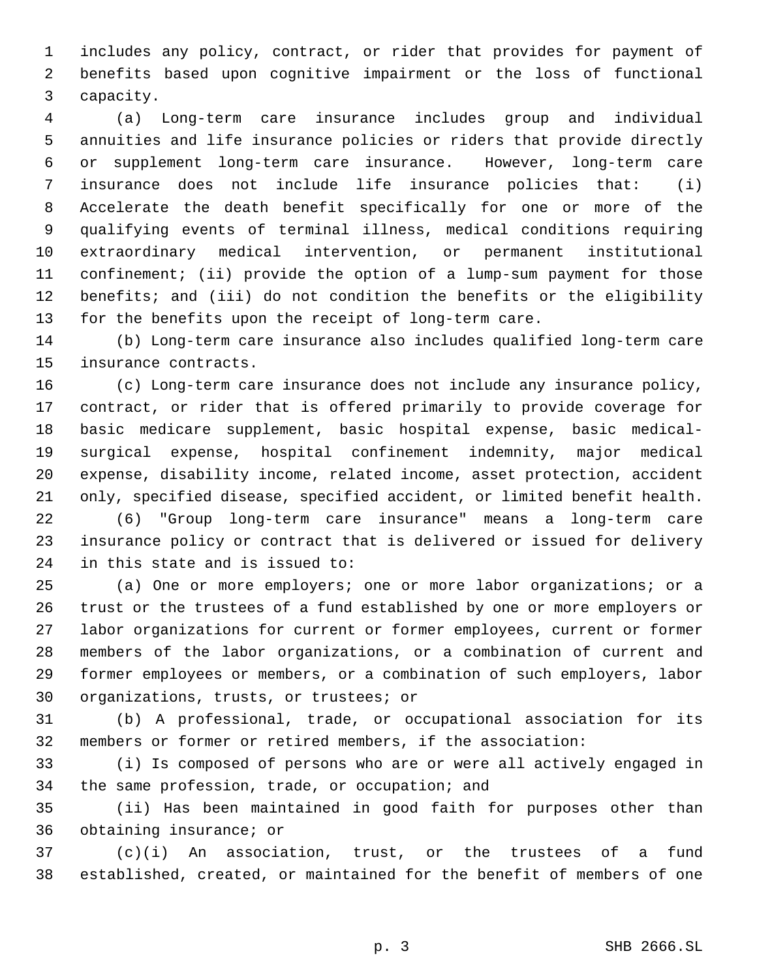includes any policy, contract, or rider that provides for payment of benefits based upon cognitive impairment or the loss of functional capacity.

 (a) Long-term care insurance includes group and individual annuities and life insurance policies or riders that provide directly or supplement long-term care insurance. However, long-term care insurance does not include life insurance policies that: (i) Accelerate the death benefit specifically for one or more of the qualifying events of terminal illness, medical conditions requiring extraordinary medical intervention, or permanent institutional confinement; (ii) provide the option of a lump-sum payment for those 12 benefits; and (iii) do not condition the benefits or the eligibility for the benefits upon the receipt of long-term care.

 (b) Long-term care insurance also includes qualified long-term care insurance contracts.

 (c) Long-term care insurance does not include any insurance policy, contract, or rider that is offered primarily to provide coverage for basic medicare supplement, basic hospital expense, basic medical- surgical expense, hospital confinement indemnity, major medical expense, disability income, related income, asset protection, accident only, specified disease, specified accident, or limited benefit health.

 (6) "Group long-term care insurance" means a long-term care insurance policy or contract that is delivered or issued for delivery in this state and is issued to:

 (a) One or more employers; one or more labor organizations; or a trust or the trustees of a fund established by one or more employers or labor organizations for current or former employees, current or former members of the labor organizations, or a combination of current and former employees or members, or a combination of such employers, labor organizations, trusts, or trustees; or

 (b) A professional, trade, or occupational association for its members or former or retired members, if the association:

 (i) Is composed of persons who are or were all actively engaged in the same profession, trade, or occupation; and

 (ii) Has been maintained in good faith for purposes other than obtaining insurance; or

 (c)(i) An association, trust, or the trustees of a fund established, created, or maintained for the benefit of members of one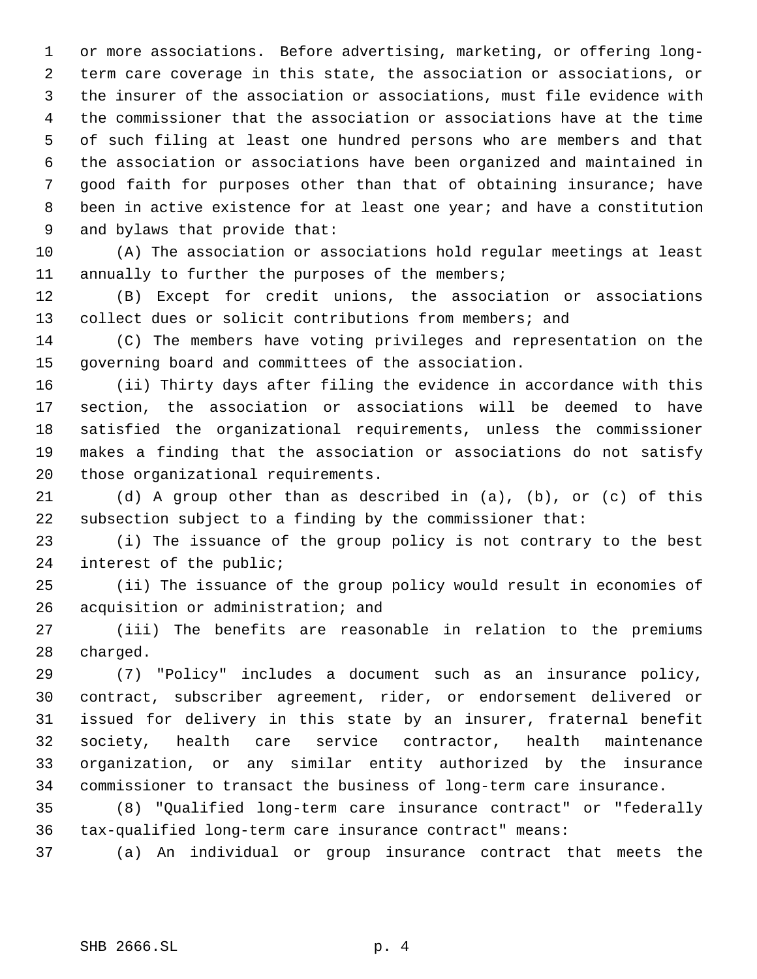or more associations. Before advertising, marketing, or offering long- term care coverage in this state, the association or associations, or the insurer of the association or associations, must file evidence with the commissioner that the association or associations have at the time of such filing at least one hundred persons who are members and that the association or associations have been organized and maintained in good faith for purposes other than that of obtaining insurance; have been in active existence for at least one year; and have a constitution and bylaws that provide that:

 (A) The association or associations hold regular meetings at least annually to further the purposes of the members;

 (B) Except for credit unions, the association or associations collect dues or solicit contributions from members; and

 (C) The members have voting privileges and representation on the governing board and committees of the association.

 (ii) Thirty days after filing the evidence in accordance with this section, the association or associations will be deemed to have satisfied the organizational requirements, unless the commissioner makes a finding that the association or associations do not satisfy those organizational requirements.

 (d) A group other than as described in (a), (b), or (c) of this subsection subject to a finding by the commissioner that:

 (i) The issuance of the group policy is not contrary to the best interest of the public;

 (ii) The issuance of the group policy would result in economies of acquisition or administration; and

 (iii) The benefits are reasonable in relation to the premiums charged.

 (7) "Policy" includes a document such as an insurance policy, contract, subscriber agreement, rider, or endorsement delivered or issued for delivery in this state by an insurer, fraternal benefit society, health care service contractor, health maintenance organization, or any similar entity authorized by the insurance commissioner to transact the business of long-term care insurance.

 (8) "Qualified long-term care insurance contract" or "federally tax-qualified long-term care insurance contract" means:

(a) An individual or group insurance contract that meets the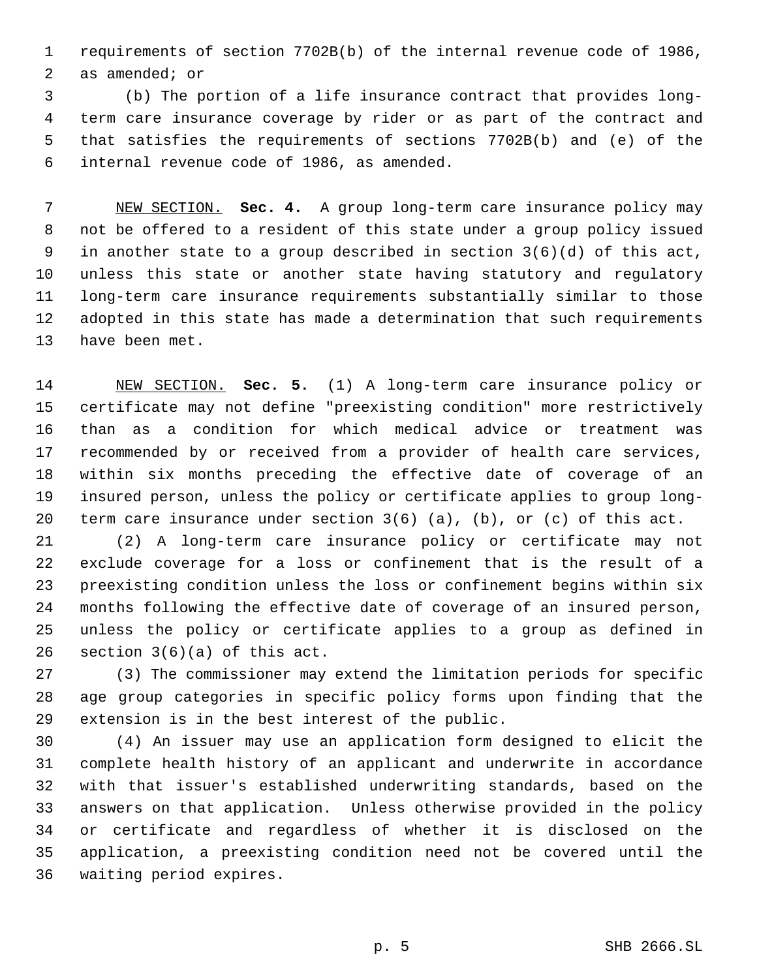requirements of section 7702B(b) of the internal revenue code of 1986, as amended; or

 3 (b) The portion of a life insurance contract that provides long- term care insurance coverage by rider or as part of the contract and that satisfies the requirements of sections 7702B(b) and (e) of the internal revenue code of 1986, as amended.

 NEW SECTION. **Sec. 4.** A group long-term care insurance policy may not be offered to a resident of this state under a group policy issued in another state to a group described in section 3(6)(d) of this act, unless this state or another state having statutory and regulatory long-term care insurance requirements substantially similar to those adopted in this state has made a determination that such requirements have been met.

 NEW SECTION. **Sec. 5.** (1) A long-term care insurance policy or certificate may not define "preexisting condition" more restrictively than as a condition for which medical advice or treatment was recommended by or received from a provider of health care services, within six months preceding the effective date of coverage of an insured person, unless the policy or certificate applies to group long-term care insurance under section 3(6) (a), (b), or (c) of this act.

 (2) A long-term care insurance policy or certificate may not exclude coverage for a loss or confinement that is the result of a preexisting condition unless the loss or confinement begins within six months following the effective date of coverage of an insured person, unless the policy or certificate applies to a group as defined in 26 section  $3(6)(a)$  of this act.

 (3) The commissioner may extend the limitation periods for specific age group categories in specific policy forms upon finding that the extension is in the best interest of the public.

 (4) An issuer may use an application form designed to elicit the complete health history of an applicant and underwrite in accordance with that issuer's established underwriting standards, based on the answers on that application. Unless otherwise provided in the policy or certificate and regardless of whether it is disclosed on the application, a preexisting condition need not be covered until the waiting period expires.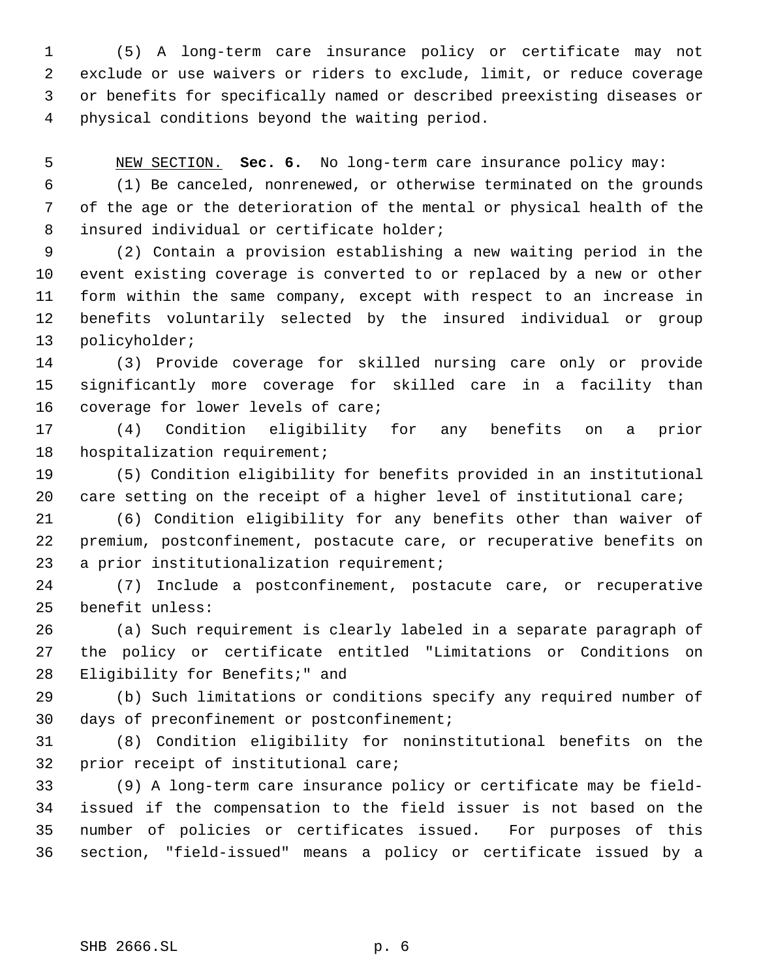(5) A long-term care insurance policy or certificate may not exclude or use waivers or riders to exclude, limit, or reduce coverage or benefits for specifically named or described preexisting diseases or physical conditions beyond the waiting period.

NEW SECTION. **Sec. 6.** No long-term care insurance policy may:

 (1) Be canceled, nonrenewed, or otherwise terminated on the grounds of the age or the deterioration of the mental or physical health of the insured individual or certificate holder;

 (2) Contain a provision establishing a new waiting period in the event existing coverage is converted to or replaced by a new or other form within the same company, except with respect to an increase in benefits voluntarily selected by the insured individual or group policyholder;

 (3) Provide coverage for skilled nursing care only or provide significantly more coverage for skilled care in a facility than coverage for lower levels of care;

 (4) Condition eligibility for any benefits on a prior 18 hospitalization requirement;

 (5) Condition eligibility for benefits provided in an institutional care setting on the receipt of a higher level of institutional care;

 (6) Condition eligibility for any benefits other than waiver of premium, postconfinement, postacute care, or recuperative benefits on a prior institutionalization requirement;

 (7) Include a postconfinement, postacute care, or recuperative benefit unless:

 (a) Such requirement is clearly labeled in a separate paragraph of the policy or certificate entitled "Limitations or Conditions on Eligibility for Benefits;" and

 (b) Such limitations or conditions specify any required number of days of preconfinement or postconfinement;

 (8) Condition eligibility for noninstitutional benefits on the prior receipt of institutional care;

 (9) A long-term care insurance policy or certificate may be field- issued if the compensation to the field issuer is not based on the number of policies or certificates issued. For purposes of this section, "field-issued" means a policy or certificate issued by a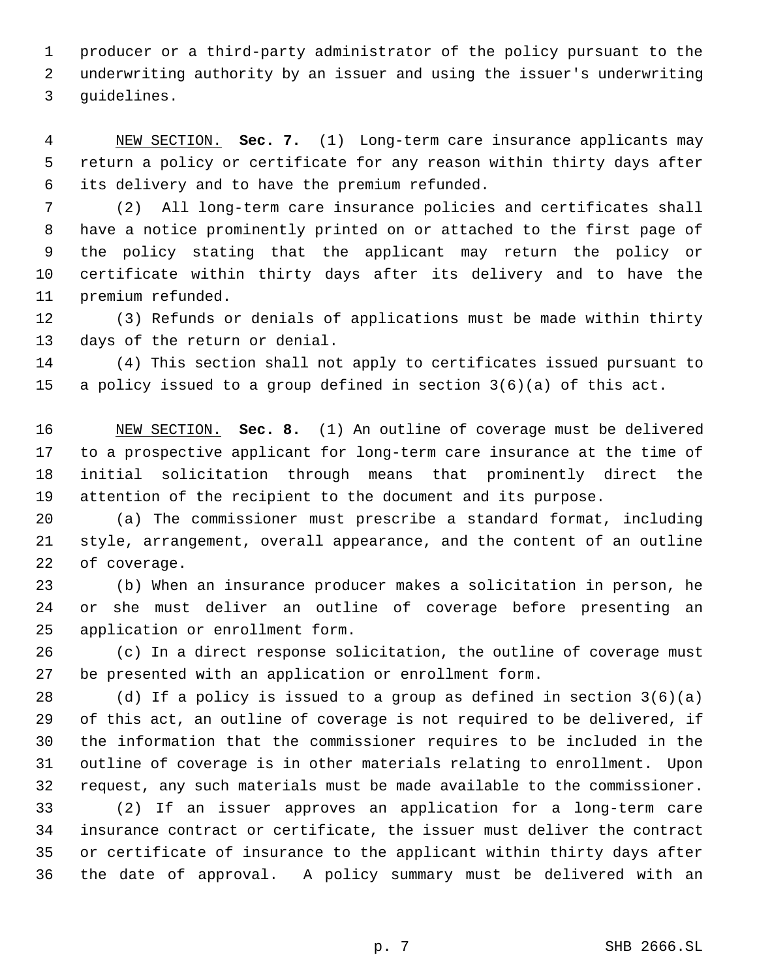producer or a third-party administrator of the policy pursuant to the underwriting authority by an issuer and using the issuer's underwriting guidelines.

 NEW SECTION. **Sec. 7.** (1) Long-term care insurance applicants may return a policy or certificate for any reason within thirty days after its delivery and to have the premium refunded.

 (2) All long-term care insurance policies and certificates shall have a notice prominently printed on or attached to the first page of the policy stating that the applicant may return the policy or certificate within thirty days after its delivery and to have the premium refunded.

 (3) Refunds or denials of applications must be made within thirty days of the return or denial.

 (4) This section shall not apply to certificates issued pursuant to a policy issued to a group defined in section 3(6)(a) of this act.

 NEW SECTION. **Sec. 8.** (1) An outline of coverage must be delivered to a prospective applicant for long-term care insurance at the time of initial solicitation through means that prominently direct the attention of the recipient to the document and its purpose.

 (a) The commissioner must prescribe a standard format, including style, arrangement, overall appearance, and the content of an outline of coverage.

 (b) When an insurance producer makes a solicitation in person, he or she must deliver an outline of coverage before presenting an application or enrollment form.

 (c) In a direct response solicitation, the outline of coverage must be presented with an application or enrollment form.

 (d) If a policy is issued to a group as defined in section 3(6)(a) of this act, an outline of coverage is not required to be delivered, if the information that the commissioner requires to be included in the outline of coverage is in other materials relating to enrollment. Upon request, any such materials must be made available to the commissioner.

 (2) If an issuer approves an application for a long-term care insurance contract or certificate, the issuer must deliver the contract or certificate of insurance to the applicant within thirty days after the date of approval. A policy summary must be delivered with an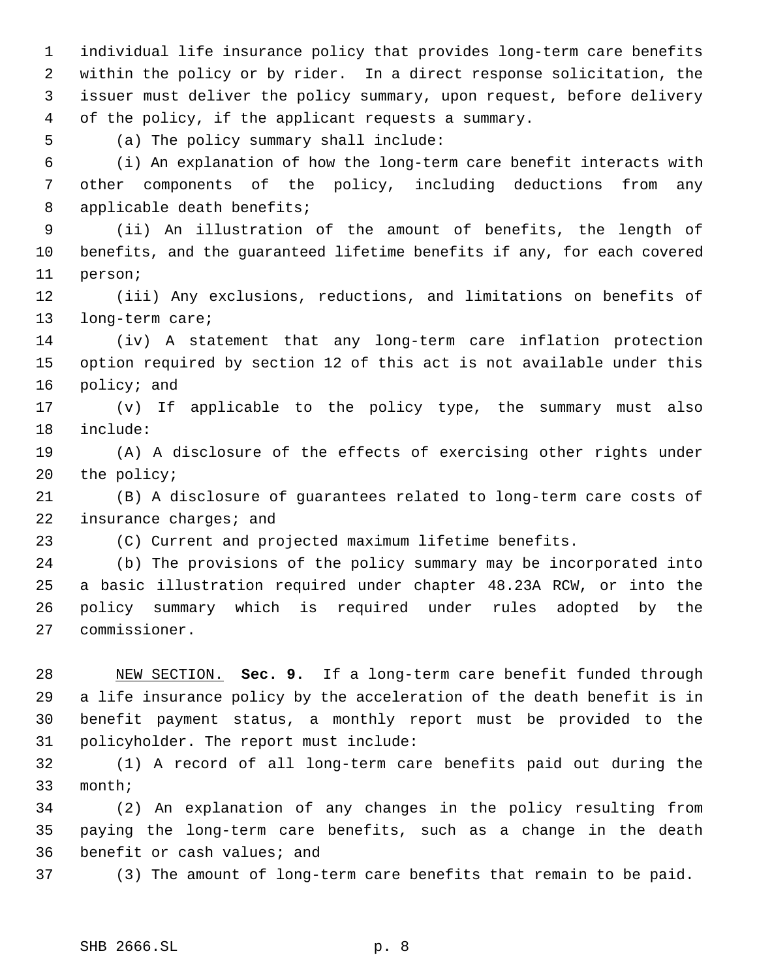individual life insurance policy that provides long-term care benefits within the policy or by rider. In a direct response solicitation, the issuer must deliver the policy summary, upon request, before delivery of the policy, if the applicant requests a summary.

(a) The policy summary shall include:

 (i) An explanation of how the long-term care benefit interacts with other components of the policy, including deductions from any 8 applicable death benefits;

 (ii) An illustration of the amount of benefits, the length of benefits, and the guaranteed lifetime benefits if any, for each covered person;

 (iii) Any exclusions, reductions, and limitations on benefits of 13 long-term care;

 (iv) A statement that any long-term care inflation protection option required by section 12 of this act is not available under this policy; and

 (v) If applicable to the policy type, the summary must also include:

 (A) A disclosure of the effects of exercising other rights under the policy;

 (B) A disclosure of guarantees related to long-term care costs of 22 insurance charges; and

(C) Current and projected maximum lifetime benefits.

 (b) The provisions of the policy summary may be incorporated into a basic illustration required under chapter 48.23A RCW, or into the policy summary which is required under rules adopted by the commissioner.

 NEW SECTION. **Sec. 9.** If a long-term care benefit funded through a life insurance policy by the acceleration of the death benefit is in benefit payment status, a monthly report must be provided to the policyholder. The report must include:

 (1) A record of all long-term care benefits paid out during the month;

 (2) An explanation of any changes in the policy resulting from paying the long-term care benefits, such as a change in the death benefit or cash values; and

(3) The amount of long-term care benefits that remain to be paid.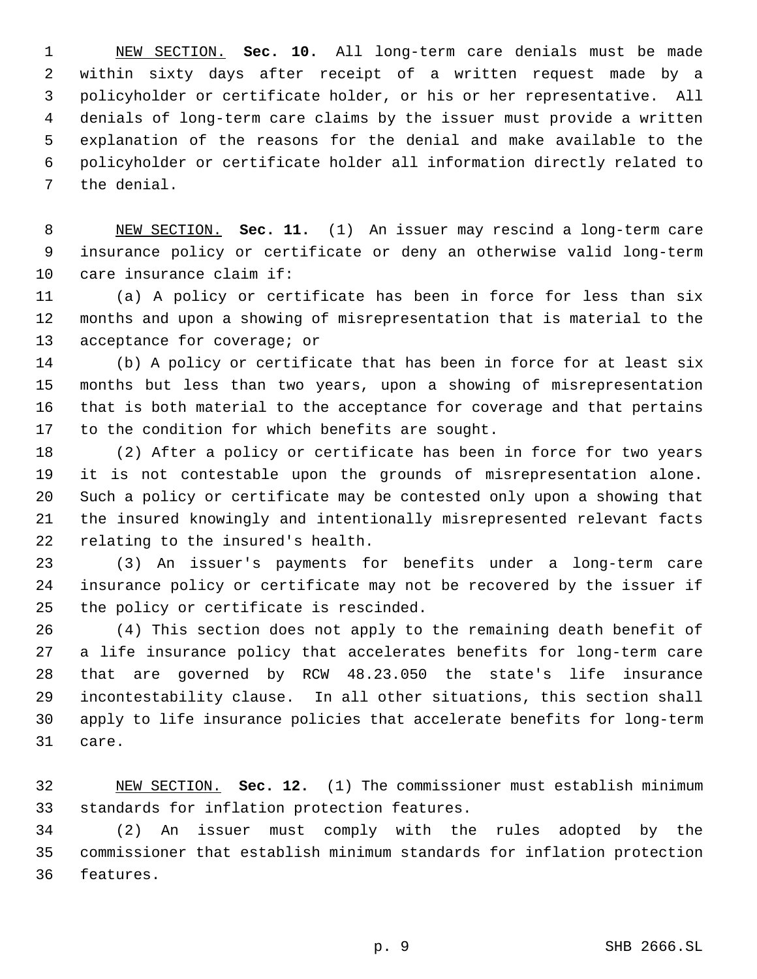NEW SECTION. **Sec. 10.** All long-term care denials must be made within sixty days after receipt of a written request made by a policyholder or certificate holder, or his or her representative. All denials of long-term care claims by the issuer must provide a written explanation of the reasons for the denial and make available to the policyholder or certificate holder all information directly related to the denial.

 NEW SECTION. **Sec. 11.** (1) An issuer may rescind a long-term care insurance policy or certificate or deny an otherwise valid long-term care insurance claim if:

 (a) A policy or certificate has been in force for less than six months and upon a showing of misrepresentation that is material to the 13 acceptance for coverage; or

 (b) A policy or certificate that has been in force for at least six months but less than two years, upon a showing of misrepresentation that is both material to the acceptance for coverage and that pertains to the condition for which benefits are sought.

 (2) After a policy or certificate has been in force for two years it is not contestable upon the grounds of misrepresentation alone. Such a policy or certificate may be contested only upon a showing that the insured knowingly and intentionally misrepresented relevant facts relating to the insured's health.

 (3) An issuer's payments for benefits under a long-term care insurance policy or certificate may not be recovered by the issuer if the policy or certificate is rescinded.

 (4) This section does not apply to the remaining death benefit of a life insurance policy that accelerates benefits for long-term care that are governed by RCW 48.23.050 the state's life insurance incontestability clause. In all other situations, this section shall apply to life insurance policies that accelerate benefits for long-term care.

 NEW SECTION. **Sec. 12.** (1) The commissioner must establish minimum standards for inflation protection features.

 (2) An issuer must comply with the rules adopted by the commissioner that establish minimum standards for inflation protection features.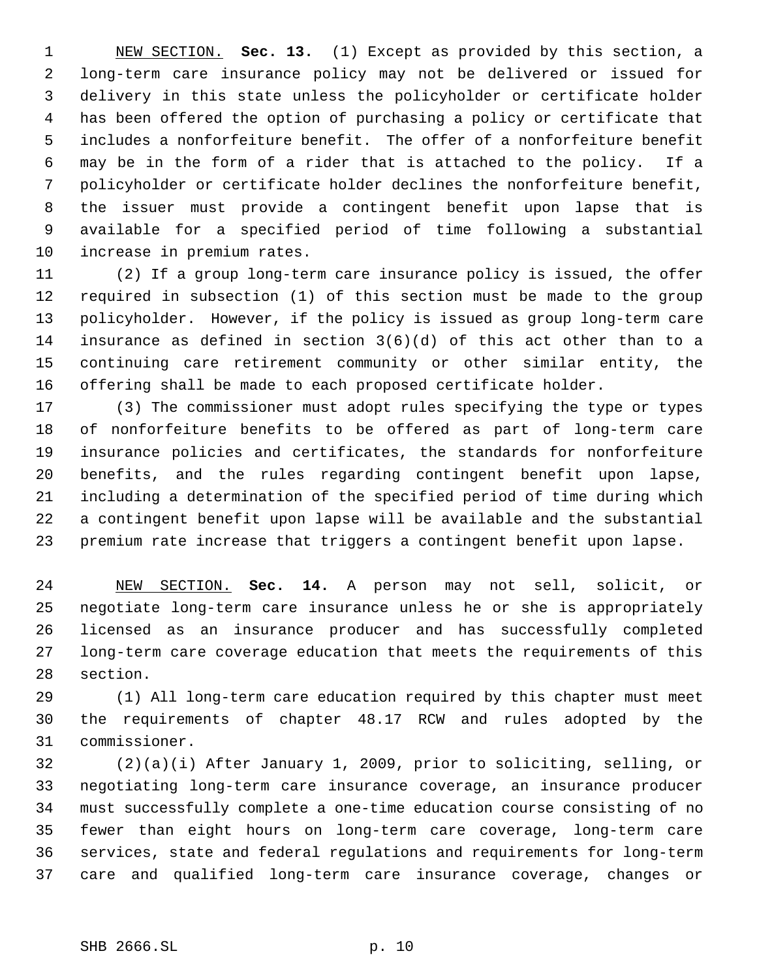NEW SECTION. **Sec. 13.** (1) Except as provided by this section, a long-term care insurance policy may not be delivered or issued for delivery in this state unless the policyholder or certificate holder has been offered the option of purchasing a policy or certificate that includes a nonforfeiture benefit. The offer of a nonforfeiture benefit may be in the form of a rider that is attached to the policy. If a policyholder or certificate holder declines the nonforfeiture benefit, the issuer must provide a contingent benefit upon lapse that is available for a specified period of time following a substantial increase in premium rates.

 (2) If a group long-term care insurance policy is issued, the offer required in subsection (1) of this section must be made to the group policyholder. However, if the policy is issued as group long-term care insurance as defined in section 3(6)(d) of this act other than to a continuing care retirement community or other similar entity, the offering shall be made to each proposed certificate holder.

 (3) The commissioner must adopt rules specifying the type or types of nonforfeiture benefits to be offered as part of long-term care insurance policies and certificates, the standards for nonforfeiture benefits, and the rules regarding contingent benefit upon lapse, including a determination of the specified period of time during which a contingent benefit upon lapse will be available and the substantial premium rate increase that triggers a contingent benefit upon lapse.

 NEW SECTION. **Sec. 14.** A person may not sell, solicit, or negotiate long-term care insurance unless he or she is appropriately licensed as an insurance producer and has successfully completed long-term care coverage education that meets the requirements of this section.

 (1) All long-term care education required by this chapter must meet the requirements of chapter 48.17 RCW and rules adopted by the commissioner.

 (2)(a)(i) After January 1, 2009, prior to soliciting, selling, or negotiating long-term care insurance coverage, an insurance producer must successfully complete a one-time education course consisting of no fewer than eight hours on long-term care coverage, long-term care services, state and federal regulations and requirements for long-term care and qualified long-term care insurance coverage, changes or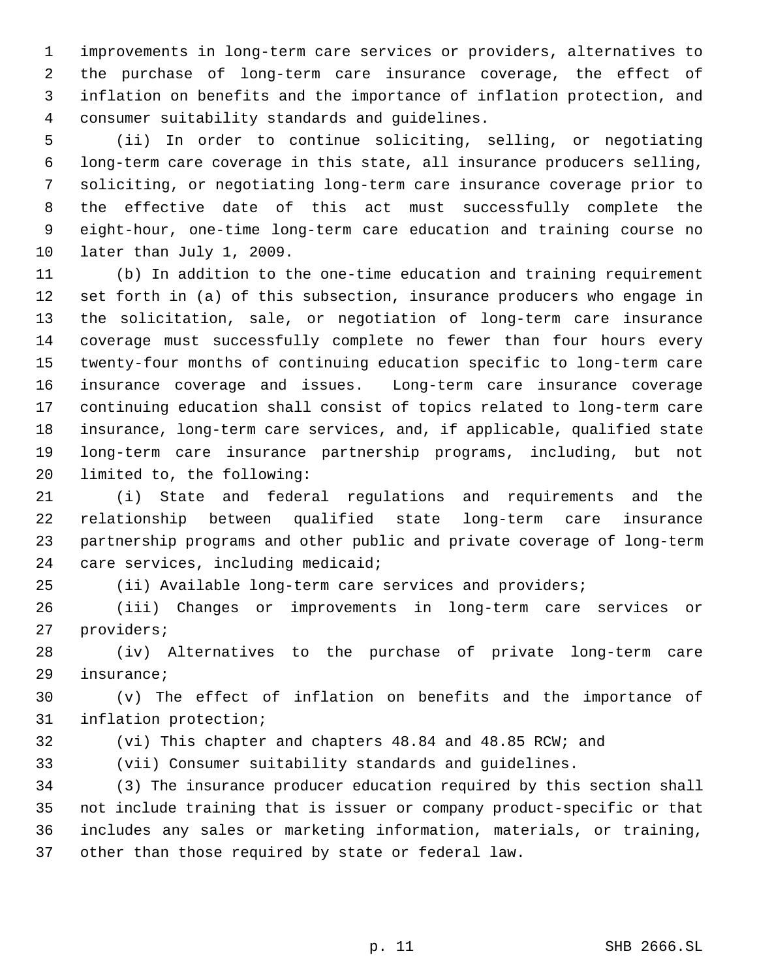improvements in long-term care services or providers, alternatives to the purchase of long-term care insurance coverage, the effect of inflation on benefits and the importance of inflation protection, and consumer suitability standards and guidelines.

 (ii) In order to continue soliciting, selling, or negotiating long-term care coverage in this state, all insurance producers selling, soliciting, or negotiating long-term care insurance coverage prior to the effective date of this act must successfully complete the eight-hour, one-time long-term care education and training course no later than July 1, 2009.

 (b) In addition to the one-time education and training requirement set forth in (a) of this subsection, insurance producers who engage in the solicitation, sale, or negotiation of long-term care insurance coverage must successfully complete no fewer than four hours every twenty-four months of continuing education specific to long-term care insurance coverage and issues. Long-term care insurance coverage continuing education shall consist of topics related to long-term care insurance, long-term care services, and, if applicable, qualified state long-term care insurance partnership programs, including, but not limited to, the following:

 (i) State and federal regulations and requirements and the relationship between qualified state long-term care insurance partnership programs and other public and private coverage of long-term care services, including medicaid;

(ii) Available long-term care services and providers;

 (iii) Changes or improvements in long-term care services or providers;

 (iv) Alternatives to the purchase of private long-term care insurance;

 (v) The effect of inflation on benefits and the importance of inflation protection;

(vi) This chapter and chapters 48.84 and 48.85 RCW; and

(vii) Consumer suitability standards and guidelines.

 (3) The insurance producer education required by this section shall not include training that is issuer or company product-specific or that includes any sales or marketing information, materials, or training, other than those required by state or federal law.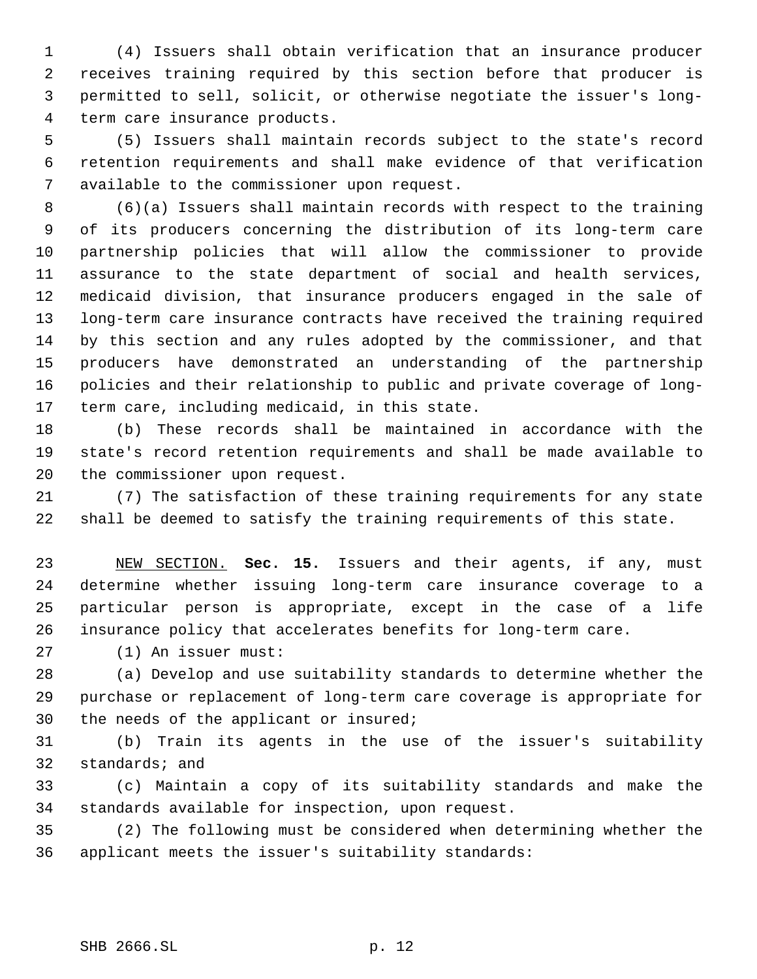(4) Issuers shall obtain verification that an insurance producer receives training required by this section before that producer is permitted to sell, solicit, or otherwise negotiate the issuer's long- term care insurance products.

 (5) Issuers shall maintain records subject to the state's record retention requirements and shall make evidence of that verification available to the commissioner upon request.

 (6)(a) Issuers shall maintain records with respect to the training of its producers concerning the distribution of its long-term care partnership policies that will allow the commissioner to provide assurance to the state department of social and health services, medicaid division, that insurance producers engaged in the sale of long-term care insurance contracts have received the training required by this section and any rules adopted by the commissioner, and that producers have demonstrated an understanding of the partnership policies and their relationship to public and private coverage of long-term care, including medicaid, in this state.

 (b) These records shall be maintained in accordance with the state's record retention requirements and shall be made available to the commissioner upon request.

 (7) The satisfaction of these training requirements for any state shall be deemed to satisfy the training requirements of this state.

 NEW SECTION. **Sec. 15.** Issuers and their agents, if any, must determine whether issuing long-term care insurance coverage to a particular person is appropriate, except in the case of a life insurance policy that accelerates benefits for long-term care.

(1) An issuer must:

 (a) Develop and use suitability standards to determine whether the purchase or replacement of long-term care coverage is appropriate for the needs of the applicant or insured;

 (b) Train its agents in the use of the issuer's suitability standards; and

 (c) Maintain a copy of its suitability standards and make the standards available for inspection, upon request.

 (2) The following must be considered when determining whether the applicant meets the issuer's suitability standards: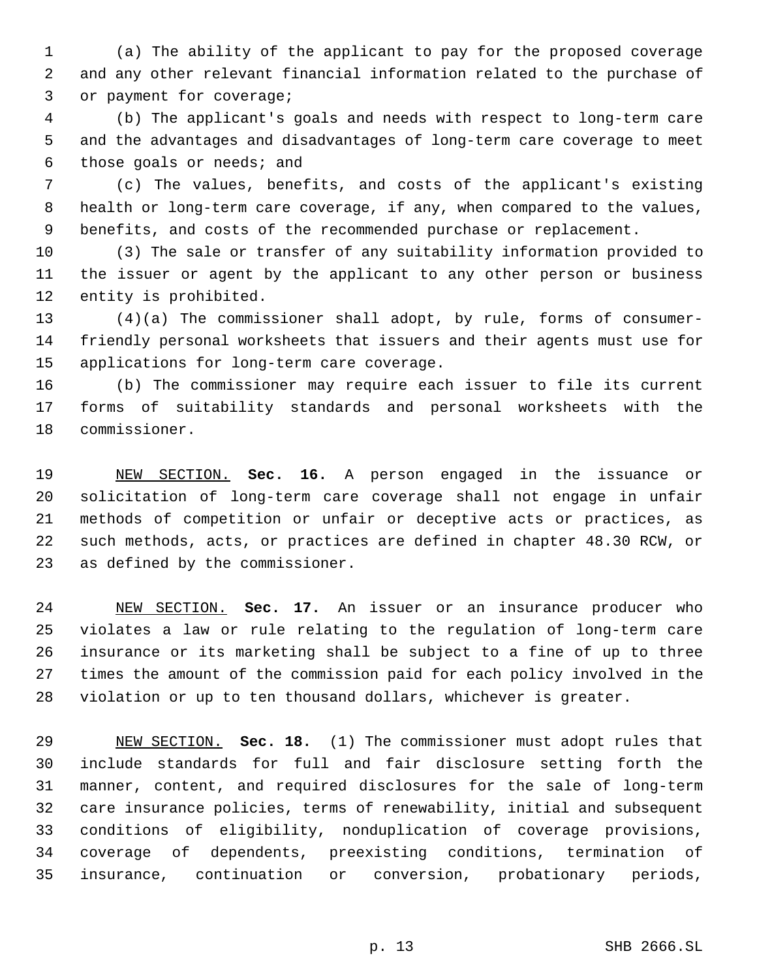(a) The ability of the applicant to pay for the proposed coverage and any other relevant financial information related to the purchase of or payment for coverage;

 (b) The applicant's goals and needs with respect to long-term care and the advantages and disadvantages of long-term care coverage to meet those goals or needs; and

 (c) The values, benefits, and costs of the applicant's existing health or long-term care coverage, if any, when compared to the values, benefits, and costs of the recommended purchase or replacement.

 (3) The sale or transfer of any suitability information provided to the issuer or agent by the applicant to any other person or business entity is prohibited.

 (4)(a) The commissioner shall adopt, by rule, forms of consumer- friendly personal worksheets that issuers and their agents must use for applications for long-term care coverage.

 (b) The commissioner may require each issuer to file its current forms of suitability standards and personal worksheets with the commissioner.

 NEW SECTION. **Sec. 16.** A person engaged in the issuance or solicitation of long-term care coverage shall not engage in unfair methods of competition or unfair or deceptive acts or practices, as such methods, acts, or practices are defined in chapter 48.30 RCW, or as defined by the commissioner.

 NEW SECTION. **Sec. 17.** An issuer or an insurance producer who violates a law or rule relating to the regulation of long-term care insurance or its marketing shall be subject to a fine of up to three times the amount of the commission paid for each policy involved in the violation or up to ten thousand dollars, whichever is greater.

 NEW SECTION. **Sec. 18.** (1) The commissioner must adopt rules that include standards for full and fair disclosure setting forth the manner, content, and required disclosures for the sale of long-term care insurance policies, terms of renewability, initial and subsequent conditions of eligibility, nonduplication of coverage provisions, coverage of dependents, preexisting conditions, termination of insurance, continuation or conversion, probationary periods,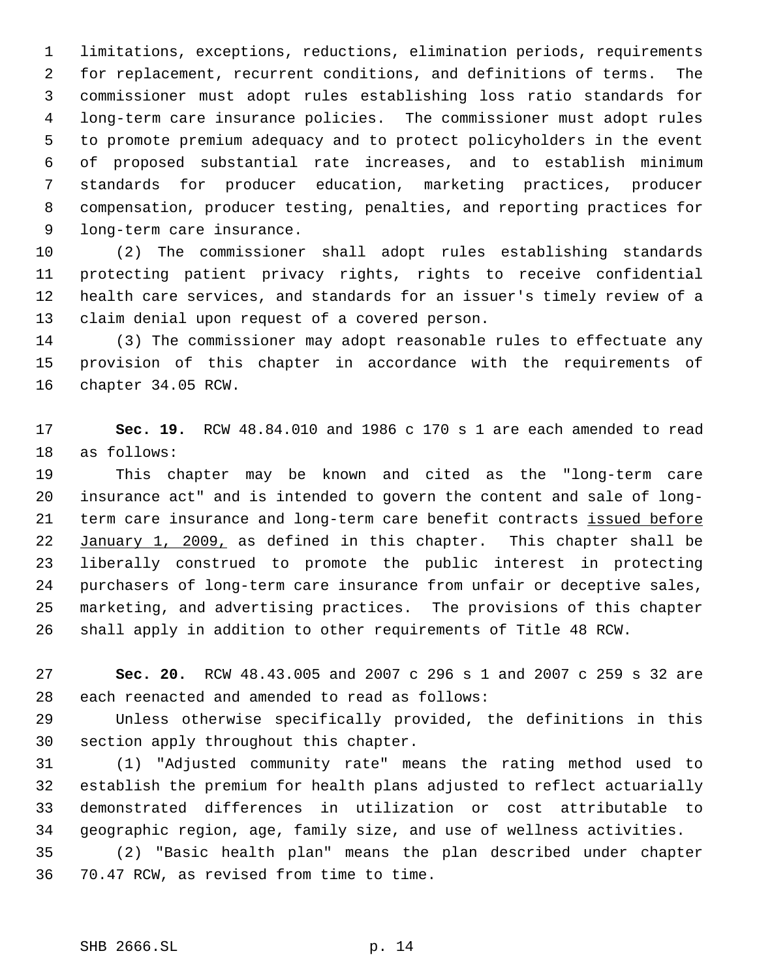limitations, exceptions, reductions, elimination periods, requirements for replacement, recurrent conditions, and definitions of terms. The commissioner must adopt rules establishing loss ratio standards for long-term care insurance policies. The commissioner must adopt rules to promote premium adequacy and to protect policyholders in the event of proposed substantial rate increases, and to establish minimum standards for producer education, marketing practices, producer compensation, producer testing, penalties, and reporting practices for long-term care insurance.

 (2) The commissioner shall adopt rules establishing standards protecting patient privacy rights, rights to receive confidential health care services, and standards for an issuer's timely review of a claim denial upon request of a covered person.

 (3) The commissioner may adopt reasonable rules to effectuate any provision of this chapter in accordance with the requirements of chapter 34.05 RCW.

 **Sec. 19.** RCW 48.84.010 and 1986 c 170 s 1 are each amended to read as follows:

 This chapter may be known and cited as the "long-term care insurance act" and is intended to govern the content and sale of long-21 term care insurance and long-term care benefit contracts issued before 22 January 1, 2009, as defined in this chapter. This chapter shall be liberally construed to promote the public interest in protecting purchasers of long-term care insurance from unfair or deceptive sales, marketing, and advertising practices. The provisions of this chapter shall apply in addition to other requirements of Title 48 RCW.

 **Sec. 20.** RCW 48.43.005 and 2007 c 296 s 1 and 2007 c 259 s 32 are each reenacted and amended to read as follows:

 Unless otherwise specifically provided, the definitions in this section apply throughout this chapter.

 (1) "Adjusted community rate" means the rating method used to establish the premium for health plans adjusted to reflect actuarially demonstrated differences in utilization or cost attributable to geographic region, age, family size, and use of wellness activities.

 (2) "Basic health plan" means the plan described under chapter 70.47 RCW, as revised from time to time.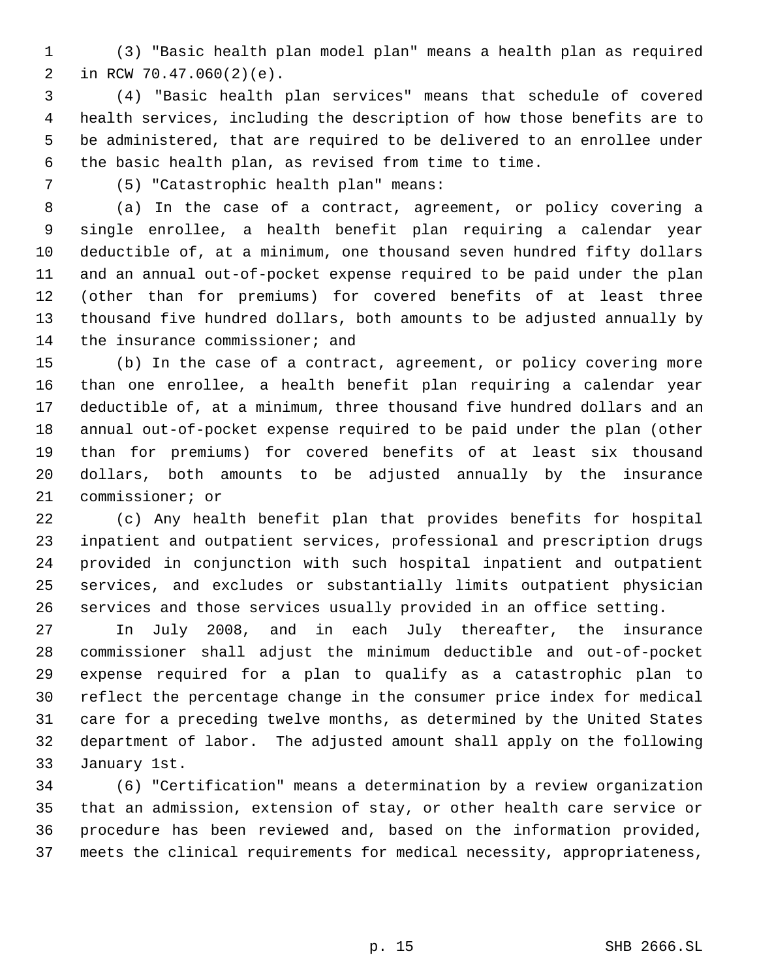(3) "Basic health plan model plan" means a health plan as required in RCW 70.47.060(2)(e).

 (4) "Basic health plan services" means that schedule of covered health services, including the description of how those benefits are to be administered, that are required to be delivered to an enrollee under the basic health plan, as revised from time to time.

(5) "Catastrophic health plan" means:

 (a) In the case of a contract, agreement, or policy covering a single enrollee, a health benefit plan requiring a calendar year deductible of, at a minimum, one thousand seven hundred fifty dollars and an annual out-of-pocket expense required to be paid under the plan (other than for premiums) for covered benefits of at least three thousand five hundred dollars, both amounts to be adjusted annually by 14 the insurance commissioner; and

 (b) In the case of a contract, agreement, or policy covering more than one enrollee, a health benefit plan requiring a calendar year deductible of, at a minimum, three thousand five hundred dollars and an annual out-of-pocket expense required to be paid under the plan (other than for premiums) for covered benefits of at least six thousand dollars, both amounts to be adjusted annually by the insurance commissioner; or

 (c) Any health benefit plan that provides benefits for hospital inpatient and outpatient services, professional and prescription drugs provided in conjunction with such hospital inpatient and outpatient services, and excludes or substantially limits outpatient physician services and those services usually provided in an office setting.

 In July 2008, and in each July thereafter, the insurance commissioner shall adjust the minimum deductible and out-of-pocket expense required for a plan to qualify as a catastrophic plan to reflect the percentage change in the consumer price index for medical care for a preceding twelve months, as determined by the United States department of labor. The adjusted amount shall apply on the following January 1st.

 (6) "Certification" means a determination by a review organization that an admission, extension of stay, or other health care service or procedure has been reviewed and, based on the information provided, meets the clinical requirements for medical necessity, appropriateness,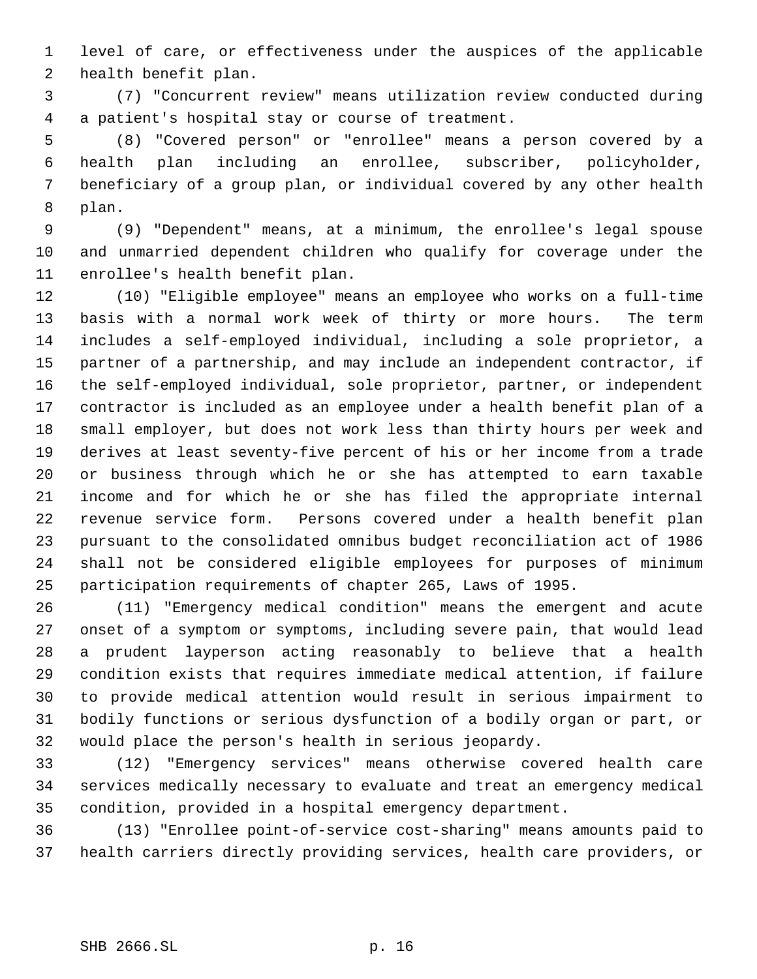level of care, or effectiveness under the auspices of the applicable health benefit plan.

 (7) "Concurrent review" means utilization review conducted during a patient's hospital stay or course of treatment.

 (8) "Covered person" or "enrollee" means a person covered by a health plan including an enrollee, subscriber, policyholder, beneficiary of a group plan, or individual covered by any other health plan.

 (9) "Dependent" means, at a minimum, the enrollee's legal spouse and unmarried dependent children who qualify for coverage under the enrollee's health benefit plan.

 (10) "Eligible employee" means an employee who works on a full-time basis with a normal work week of thirty or more hours. The term includes a self-employed individual, including a sole proprietor, a partner of a partnership, and may include an independent contractor, if the self-employed individual, sole proprietor, partner, or independent contractor is included as an employee under a health benefit plan of a small employer, but does not work less than thirty hours per week and derives at least seventy-five percent of his or her income from a trade or business through which he or she has attempted to earn taxable income and for which he or she has filed the appropriate internal revenue service form. Persons covered under a health benefit plan pursuant to the consolidated omnibus budget reconciliation act of 1986 shall not be considered eligible employees for purposes of minimum participation requirements of chapter 265, Laws of 1995.

 (11) "Emergency medical condition" means the emergent and acute onset of a symptom or symptoms, including severe pain, that would lead a prudent layperson acting reasonably to believe that a health condition exists that requires immediate medical attention, if failure to provide medical attention would result in serious impairment to bodily functions or serious dysfunction of a bodily organ or part, or would place the person's health in serious jeopardy.

 (12) "Emergency services" means otherwise covered health care services medically necessary to evaluate and treat an emergency medical condition, provided in a hospital emergency department.

 (13) "Enrollee point-of-service cost-sharing" means amounts paid to health carriers directly providing services, health care providers, or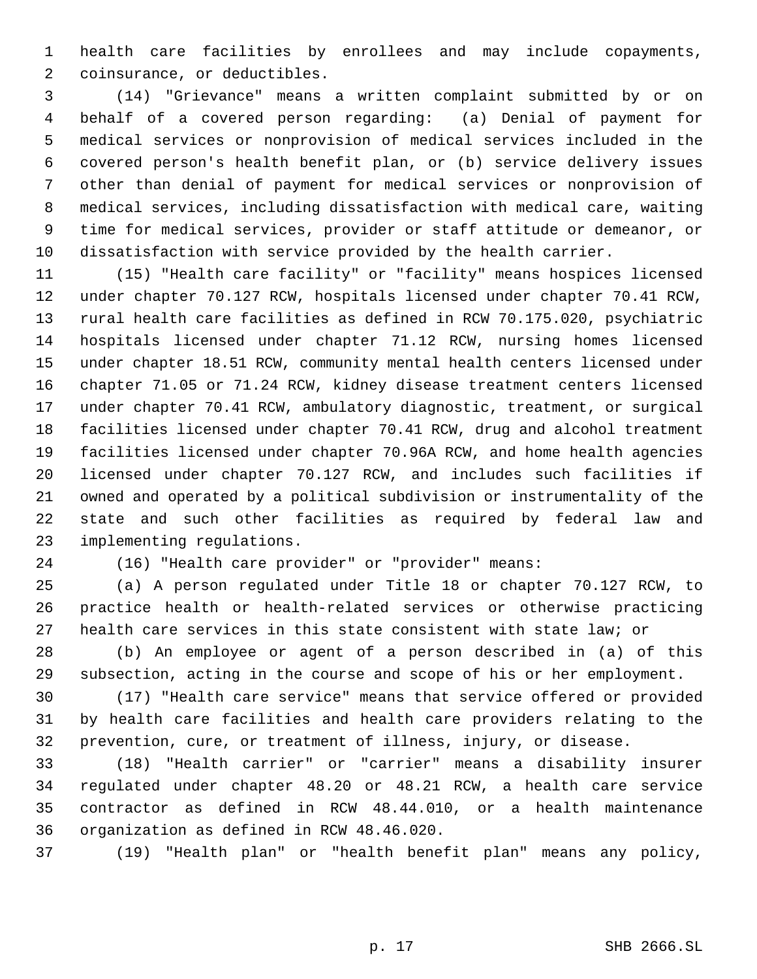health care facilities by enrollees and may include copayments, coinsurance, or deductibles.

 (14) "Grievance" means a written complaint submitted by or on behalf of a covered person regarding: (a) Denial of payment for medical services or nonprovision of medical services included in the covered person's health benefit plan, or (b) service delivery issues other than denial of payment for medical services or nonprovision of medical services, including dissatisfaction with medical care, waiting time for medical services, provider or staff attitude or demeanor, or dissatisfaction with service provided by the health carrier.

 (15) "Health care facility" or "facility" means hospices licensed under chapter 70.127 RCW, hospitals licensed under chapter 70.41 RCW, rural health care facilities as defined in RCW 70.175.020, psychiatric hospitals licensed under chapter 71.12 RCW, nursing homes licensed under chapter 18.51 RCW, community mental health centers licensed under chapter 71.05 or 71.24 RCW, kidney disease treatment centers licensed under chapter 70.41 RCW, ambulatory diagnostic, treatment, or surgical facilities licensed under chapter 70.41 RCW, drug and alcohol treatment facilities licensed under chapter 70.96A RCW, and home health agencies licensed under chapter 70.127 RCW, and includes such facilities if owned and operated by a political subdivision or instrumentality of the state and such other facilities as required by federal law and implementing regulations.

(16) "Health care provider" or "provider" means:

 (a) A person regulated under Title 18 or chapter 70.127 RCW, to practice health or health-related services or otherwise practicing health care services in this state consistent with state law; or

 (b) An employee or agent of a person described in (a) of this subsection, acting in the course and scope of his or her employment.

 (17) "Health care service" means that service offered or provided by health care facilities and health care providers relating to the prevention, cure, or treatment of illness, injury, or disease.

 (18) "Health carrier" or "carrier" means a disability insurer regulated under chapter 48.20 or 48.21 RCW, a health care service contractor as defined in RCW 48.44.010, or a health maintenance organization as defined in RCW 48.46.020.

(19) "Health plan" or "health benefit plan" means any policy,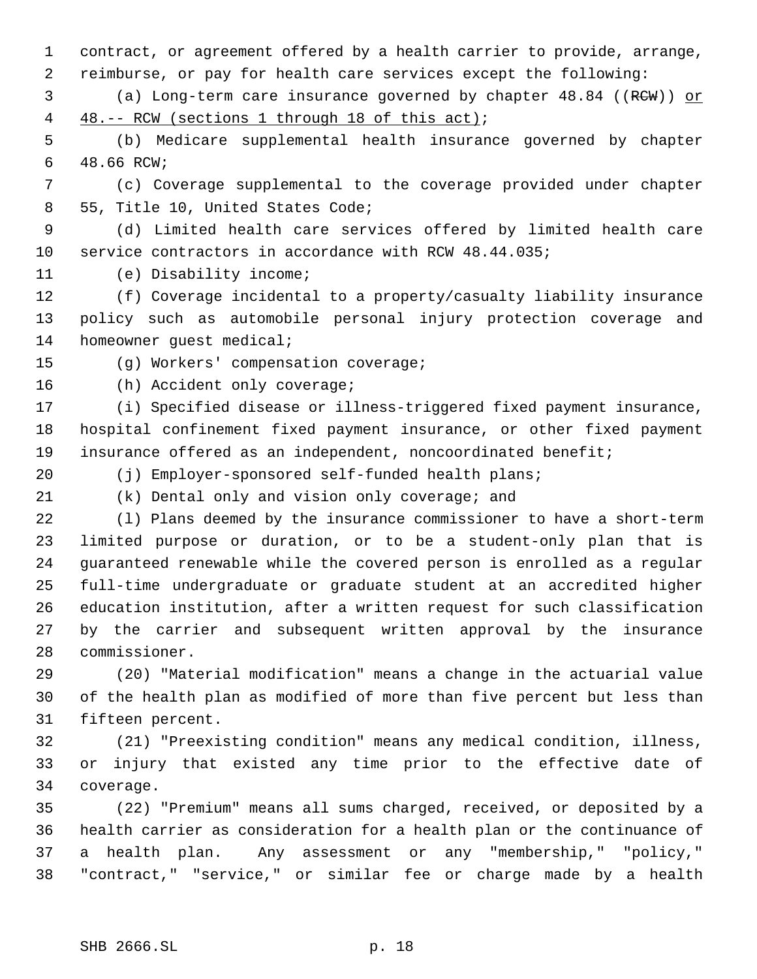contract, or agreement offered by a health carrier to provide, arrange, reimburse, or pay for health care services except the following:

 (a) Long-term care insurance governed by chapter 48.84 ((RCW)) or 48.-- RCW (sections 1 through 18 of this act);

 (b) Medicare supplemental health insurance governed by chapter 48.66 RCW;

 (c) Coverage supplemental to the coverage provided under chapter 55, Title 10, United States Code;

 (d) Limited health care services offered by limited health care service contractors in accordance with RCW 48.44.035;

(e) Disability income;

 (f) Coverage incidental to a property/casualty liability insurance policy such as automobile personal injury protection coverage and 14 homeowner quest medical;

(g) Workers' compensation coverage;

(h) Accident only coverage;

 (i) Specified disease or illness-triggered fixed payment insurance, hospital confinement fixed payment insurance, or other fixed payment insurance offered as an independent, noncoordinated benefit;

(j) Employer-sponsored self-funded health plans;

(k) Dental only and vision only coverage; and

 (l) Plans deemed by the insurance commissioner to have a short-term limited purpose or duration, or to be a student-only plan that is guaranteed renewable while the covered person is enrolled as a regular full-time undergraduate or graduate student at an accredited higher education institution, after a written request for such classification by the carrier and subsequent written approval by the insurance commissioner.

 (20) "Material modification" means a change in the actuarial value of the health plan as modified of more than five percent but less than fifteen percent.

 (21) "Preexisting condition" means any medical condition, illness, or injury that existed any time prior to the effective date of coverage.

 (22) "Premium" means all sums charged, received, or deposited by a health carrier as consideration for a health plan or the continuance of a health plan. Any assessment or any "membership," "policy," "contract," "service," or similar fee or charge made by a health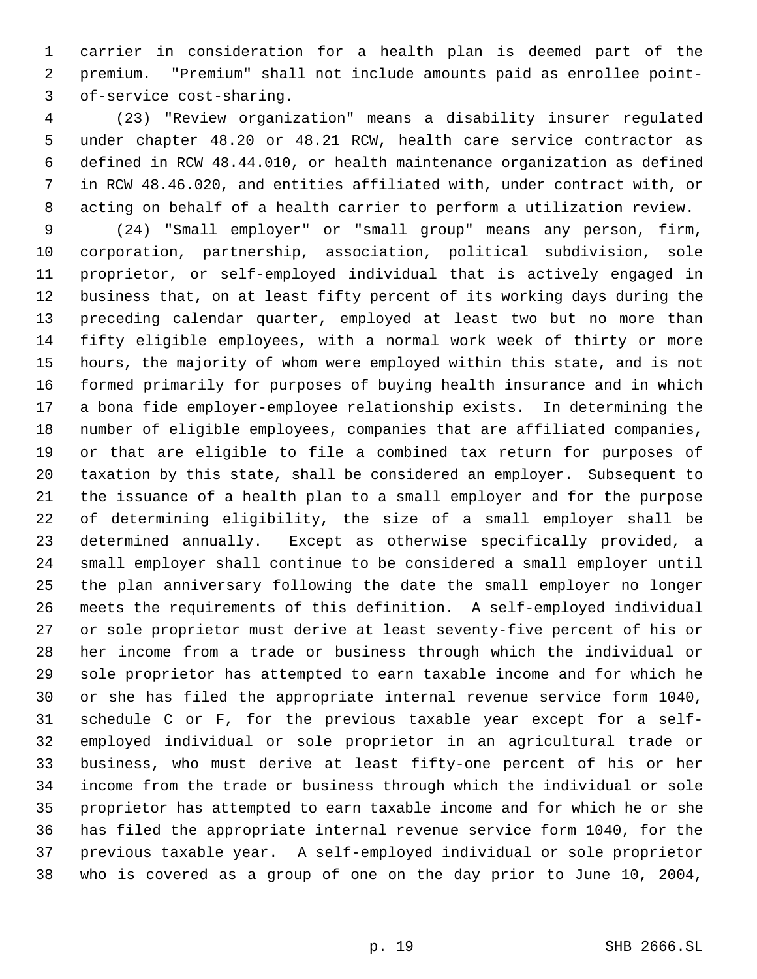carrier in consideration for a health plan is deemed part of the premium. "Premium" shall not include amounts paid as enrollee point- of-service cost-sharing.

 (23) "Review organization" means a disability insurer regulated under chapter 48.20 or 48.21 RCW, health care service contractor as defined in RCW 48.44.010, or health maintenance organization as defined in RCW 48.46.020, and entities affiliated with, under contract with, or acting on behalf of a health carrier to perform a utilization review.

 (24) "Small employer" or "small group" means any person, firm, corporation, partnership, association, political subdivision, sole proprietor, or self-employed individual that is actively engaged in business that, on at least fifty percent of its working days during the preceding calendar quarter, employed at least two but no more than fifty eligible employees, with a normal work week of thirty or more hours, the majority of whom were employed within this state, and is not formed primarily for purposes of buying health insurance and in which a bona fide employer-employee relationship exists. In determining the number of eligible employees, companies that are affiliated companies, or that are eligible to file a combined tax return for purposes of taxation by this state, shall be considered an employer. Subsequent to the issuance of a health plan to a small employer and for the purpose of determining eligibility, the size of a small employer shall be determined annually. Except as otherwise specifically provided, a small employer shall continue to be considered a small employer until the plan anniversary following the date the small employer no longer meets the requirements of this definition. A self-employed individual or sole proprietor must derive at least seventy-five percent of his or her income from a trade or business through which the individual or sole proprietor has attempted to earn taxable income and for which he or she has filed the appropriate internal revenue service form 1040, schedule C or F, for the previous taxable year except for a self- employed individual or sole proprietor in an agricultural trade or business, who must derive at least fifty-one percent of his or her income from the trade or business through which the individual or sole proprietor has attempted to earn taxable income and for which he or she has filed the appropriate internal revenue service form 1040, for the previous taxable year. A self-employed individual or sole proprietor who is covered as a group of one on the day prior to June 10, 2004,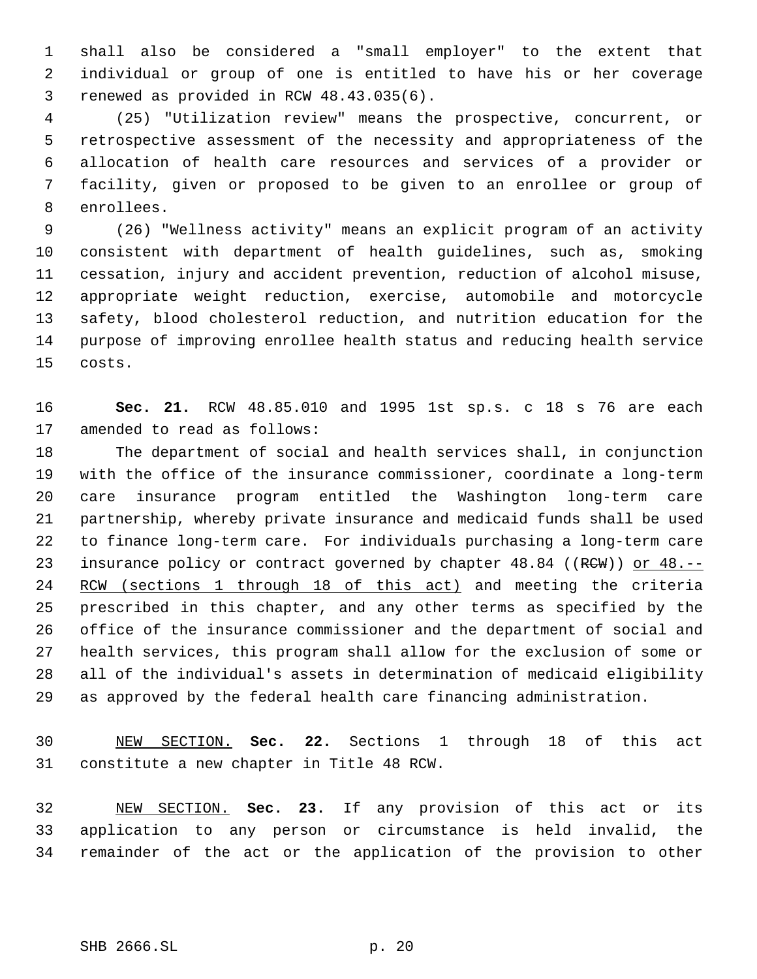shall also be considered a "small employer" to the extent that individual or group of one is entitled to have his or her coverage renewed as provided in RCW 48.43.035(6).

 (25) "Utilization review" means the prospective, concurrent, or retrospective assessment of the necessity and appropriateness of the allocation of health care resources and services of a provider or facility, given or proposed to be given to an enrollee or group of enrollees.

 (26) "Wellness activity" means an explicit program of an activity consistent with department of health guidelines, such as, smoking cessation, injury and accident prevention, reduction of alcohol misuse, appropriate weight reduction, exercise, automobile and motorcycle safety, blood cholesterol reduction, and nutrition education for the purpose of improving enrollee health status and reducing health service costs.

 **Sec. 21.** RCW 48.85.010 and 1995 1st sp.s. c 18 s 76 are each amended to read as follows:

 The department of social and health services shall, in conjunction with the office of the insurance commissioner, coordinate a long-term care insurance program entitled the Washington long-term care partnership, whereby private insurance and medicaid funds shall be used to finance long-term care. For individuals purchasing a long-term care 23 insurance policy or contract governed by chapter 48.84 ((RCW)) or 48.--24 RCW (sections 1 through 18 of this act) and meeting the criteria prescribed in this chapter, and any other terms as specified by the office of the insurance commissioner and the department of social and health services, this program shall allow for the exclusion of some or all of the individual's assets in determination of medicaid eligibility as approved by the federal health care financing administration.

 NEW SECTION. **Sec. 22.** Sections 1 through 18 of this act constitute a new chapter in Title 48 RCW.

 NEW SECTION. **Sec. 23.** If any provision of this act or its application to any person or circumstance is held invalid, the remainder of the act or the application of the provision to other